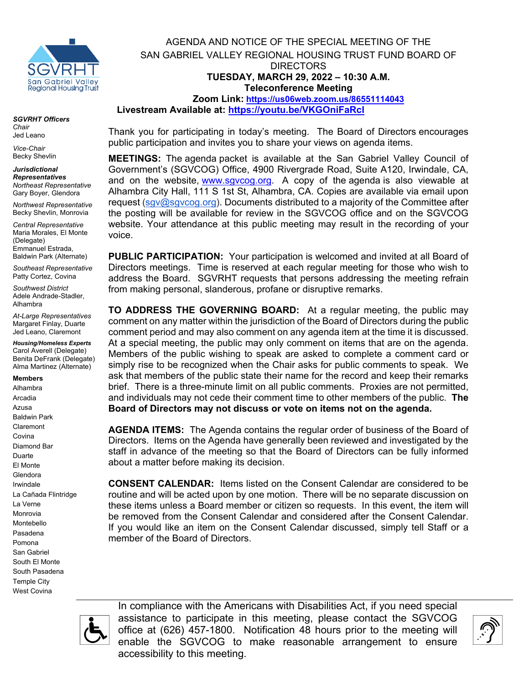

*SGVRHT Officers Chair*  Jed Leano

*Vice-Chair*  Becky Shevlin

*Jurisdictional Representatives Northeast Representative*  Gary Boyer, Glendora

*Northwest Representative*  Becky Shevlin, Monrovia

*Central Representative*  Maria Morales, El Monte (Delegate) Emmanuel Estrada, Baldwin Park (Alternate)

*Southeast Representative*  Patty Cortez, Covina

*Southwest District*  Adele Andrade-Stadler, Alhambra

*At-Large Representatives* Margaret Finlay, Duarte Jed Leano, Claremont

*Housing/Homeless Experts* Carol Averell (Delegate) Benita DeFrank (Delegate) Alma Martinez (Alternate)

### **Members**

Alhambra Arcadia Azusa Baldwin Park Claremont Covina Diamond Bar Duarte El Monte Glendora Irwindale La Cañada Flintridge La Verne Monrovia Montebello Pasadena Pomona San Gabriel South El Monte South Pasadena Temple City West Covina

AGENDA AND NOTICE OF THE SPECIAL MEETING OF THE SAN GABRIEL VALLEY REGIONAL HOUSING TRUST FUND BOARD OF DIRECTORS **TUESDAY, MARCH 29, 2022 – 10:30 A.M. Teleconference Meeting Zoom Link: <https://us06web.zoom.us/86551114043> Livestream Available at: https://youtu.be[/VKGOniFaRcI](https://youtu.be/VKGOniFaRcI)**

Thank you for participating in today's meeting. The Board of Directors encourages public participation and invites you to share your views on agenda items.

**MEETINGS:** The agenda packet is available at the San Gabriel Valley Council of Government's (SGVCOG) Office, 4900 Rivergrade Road, Suite A120, Irwindale, CA, and on the website, [www.sgvcog.org.](http://www.sgvcog.org/) A copy of the agenda is also viewable at Alhambra City Hall, 111 S 1st St, Alhambra, CA. Copies are available via email upon request [\(sgv@sgvcog.org\)](mailto:sgv@sgvcog.org). Documents distributed to a majority of the Committee after the posting will be available for review in the SGVCOG office and on the SGVCOG website. Your attendance at this public meeting may result in the recording of your voice.

**PUBLIC PARTICIPATION:** Your participation is welcomed and invited at all Board of Directors meetings. Time is reserved at each regular meeting for those who wish to address the Board. SGVRHT requests that persons addressing the meeting refrain from making personal, slanderous, profane or disruptive remarks.

**TO ADDRESS THE GOVERNING BOARD:** At a regular meeting, the public may comment on any matter within the jurisdiction of the Board of Directors during the public comment period and may also comment on any agenda item at the time it is discussed. At a special meeting, the public may only comment on items that are on the agenda. Members of the public wishing to speak are asked to complete a comment card or simply rise to be recognized when the Chair asks for public comments to speak. We ask that members of the public state their name for the record and keep their remarks brief. There is a three-minute limit on all public comments.Proxies are not permitted, and individuals may not cede their comment time to other members of the public. **The Board of Directors may not discuss or vote on items not on the agenda.**

**AGENDA ITEMS:** The Agenda contains the regular order of business of the Board of Directors. Items on the Agenda have generally been reviewed and investigated by the staff in advance of the meeting so that the Board of Directors can be fully informed about a matter before making its decision.

**CONSENT CALENDAR:** Items listed on the Consent Calendar are considered to be routine and will be acted upon by one motion. There will be no separate discussion on these items unless a Board member or citizen so requests. In this event, the item will be removed from the Consent Calendar and considered after the Consent Calendar. If you would like an item on the Consent Calendar discussed, simply tell Staff or a member of the Board of Directors.



In compliance with the Americans with Disabilities Act, if you need special assistance to participate in this meeting, please contact the SGVCOG office at (626) 457-1800. Notification 48 hours prior to the meeting will enable the SGVCOG to make reasonable arrangement to ensure accessibility to this meeting.

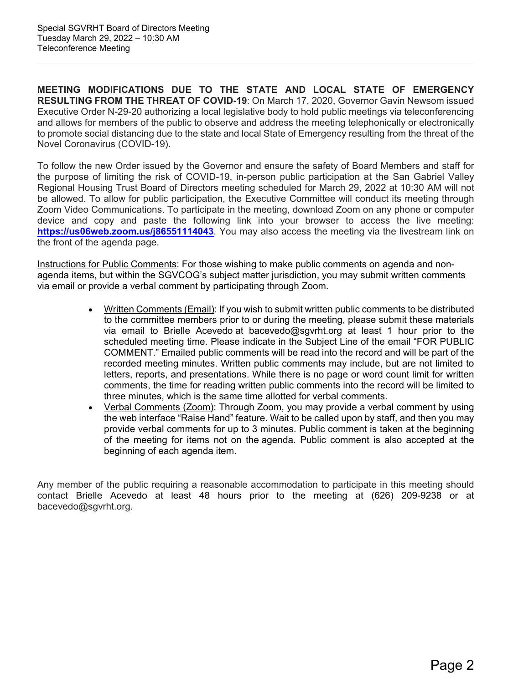**MEETING MODIFICATIONS DUE TO THE STATE AND LOCAL STATE OF EMERGENCY RESULTING FROM THE THREAT OF COVID-19**: On March 17, 2020, Governor Gavin Newsom issued Executive Order N-29-20 authorizing a local legislative body to hold public meetings via teleconferencing and allows for members of the public to observe and address the meeting telephonically or electronically to promote social distancing due to the state and local State of Emergency resulting from the threat of the Novel Coronavirus (COVID-19).

To follow the new Order issued by the Governor and ensure the safety of Board Members and staff for the purpose of limiting the risk of COVID-19, in-person public participation at the San Gabriel Valley Regional Housing Trust Board of Directors meeting scheduled for March 29, 2022 at 10:30 AM will not be allowed. To allow for public participation, the Executive Committee will conduct its meeting through Zoom Video Communications. To participate in the meeting, download Zoom on any phone or computer device and copy and paste the following link into your browser to access the live meeting: **https://us06web.zoom.us/j86551114043**. You may also access the meeting via the livestream link on the front of the agenda page.

Instructions for Public Comments: For those wishing to make public comments on agenda and nonagenda items, but within the SGVCOG's subject matter jurisdiction, you may submit written comments via email or provide a verbal comment by participating through Zoom.

- Written Comments (Email): If you wish to submit written public comments to be distributed to the committee members prior to or during the meeting, please submit these materials via email to Brielle Acevedo at bacevedo@sgvrht.org at least 1 hour prior to the scheduled meeting time. Please indicate in the Subject Line of the email "FOR PUBLIC COMMENT." Emailed public comments will be read into the record and will be part of the recorded meeting minutes. Written public comments may include, but are not limited to letters, reports, and presentations. While there is no page or word count limit for written comments, the time for reading written public comments into the record will be limited to three minutes, which is the same time allotted for verbal comments.
- Verbal Comments (Zoom): Through Zoom, you may provide a verbal comment by using the web interface "Raise Hand" feature. Wait to be called upon by staff, and then you may provide verbal comments for up to 3 minutes. Public comment is taken at the beginning of the meeting for items not on the agenda. Public comment is also accepted at the beginning of each agenda item.

Any member of the public requiring a reasonable accommodation to participate in this meeting should contact Brielle Acevedo at least 48 hours prior to the meeting at (626) 209-9238 or at bacevedo@sgvrht.org.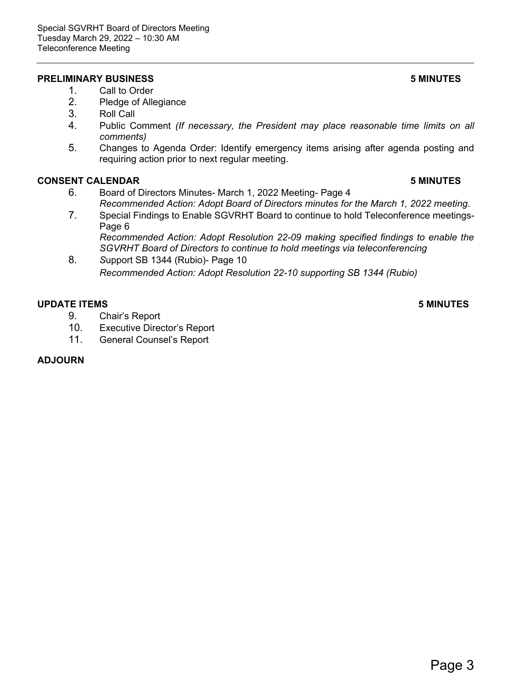### **PRELIMINARY BUSINESS 5 MINUTES**

- 1. Call to Order
- 2. Pledge of Allegiance<br>3. Roll Call
- Roll Call
- 4. Public Comment *(If necessary, the President may place reasonable time limits on all comments)*
- 5. Changes to Agenda Order: Identify emergency items arising after agenda posting and requiring action prior to next regular meeting.

### **CONSENT CALENDAR 5 MINUTES**

- 6. Board of Directors Minutes- March 1, 2022 Meeting- Page 4 *Recommended Action: Adopt Board of Directors minutes for the March 1, 2022 meeting.*
- 7. Special Findings to Enable SGVRHT Board to continue to hold Teleconference meetings-Page 6 *Recommended Action: Adopt Resolution 22-09 making specified findings to enable the SGVRHT Board of Directors to continue to hold meetings via teleconferencing*
- 8. *S*upport SB 1344 (Rubio)- Page 10 *Recommended Action: Adopt Resolution 22-10 supporting SB 1344 (Rubio)*

### **UPDATE ITEMS 5 MINUTES**

- 9. Chair's Report
- 10. Executive Director's Report
- 11. General Counsel's Report

### **ADJOURN**

Page 3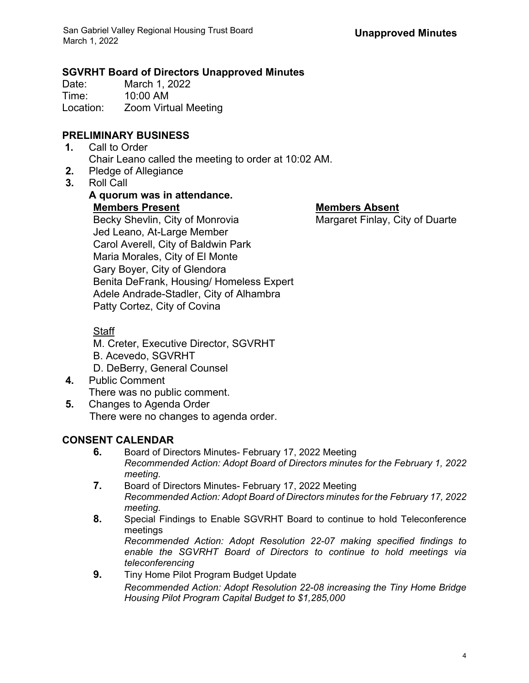## **SGVRHT Board of Directors Unapproved Minutes**

Date: March 1, 2022<br>Time: 10:00 AM 10:00 AM Location: Zoom Virtual Meeting

# **PRELIMINARY BUSINESS**

- **1.** Call to Order Chair Leano called the meeting to order at 10:02 AM.
- **2.** Pledge of Allegiance
- **3.** Roll Call

# **A quorum was in attendance. Members Present Members Absent**

Becky Shevlin, City of Monrovia Margaret Finlay, City of Duarte Jed Leano, At-Large Member Carol Averell, City of Baldwin Park Maria Morales, City of El Monte Gary Boyer, City of Glendora Benita DeFrank, Housing/ Homeless Expert Adele Andrade-Stadler, City of Alhambra Patty Cortez, City of Covina

# **Staff**

- M. Creter, Executive Director, SGVRHT
- B. Acevedo, SGVRHT
- D. DeBerry, General Counsel
- **4.** Public Comment There was no public comment.
- **5.** Changes to Agenda Order There were no changes to agenda order.

# **CONSENT CALENDAR**

- **6.** Board of Directors Minutes- February 17, 2022 Meeting *Recommended Action: Adopt Board of Directors minutes for the February 1, 2022 meeting.*
- **7.** Board of Directors Minutes- February 17, 2022 Meeting *Recommended Action: Adopt Board of Directors minutes for the February 17, 2022 meeting.*
- **8.** Special Findings to Enable SGVRHT Board to continue to hold Teleconference meetings *Recommended Action: Adopt Resolution 22-07 making specified findings to enable the SGVRHT Board of Directors to continue to hold meetings via*
- *teleconferencing* **9.** Tiny Home Pilot Program Budget Update *Recommended Action: Adopt Resolution 22-08 increasing the Tiny Home Bridge Housing Pilot Program Capital Budget to \$1,285,000*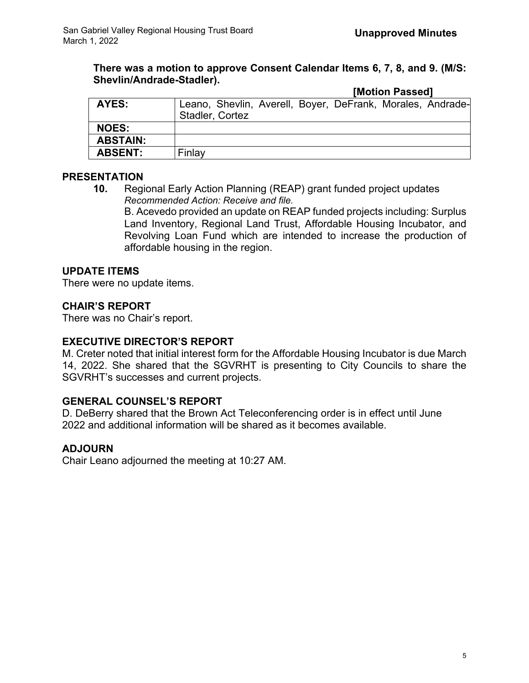### **There was a motion to approve Consent Calendar Items 6, 7, 8, and 9. (M/S: Shevlin/Andrade-Stadler). [Motion Passed]**

|                 |                                                            |  | <b>IMotion Passedi</b> |  |
|-----------------|------------------------------------------------------------|--|------------------------|--|
| AYES:           | Leano, Shevlin, Averell, Boyer, DeFrank, Morales, Andrade- |  |                        |  |
|                 | Stadler, Cortez                                            |  |                        |  |
| <b>NOES:</b>    |                                                            |  |                        |  |
| <b>ABSTAIN:</b> |                                                            |  |                        |  |
| <b>ABSENT:</b>  | Finlay                                                     |  |                        |  |

# **PRESENTATION**

**10.** Regional Early Action Planning (REAP) grant funded project updates *Recommended Action: Receive and file.*

B. Acevedo provided an update on REAP funded projects including: Surplus Land Inventory, Regional Land Trust, Affordable Housing Incubator, and Revolving Loan Fund which are intended to increase the production of affordable housing in the region.

## **UPDATE ITEMS**

There were no update items.

## **CHAIR'S REPORT**

There was no Chair's report.

### **EXECUTIVE DIRECTOR'S REPORT**

M. Creter noted that initial interest form for the Affordable Housing Incubator is due March 14, 2022. She shared that the SGVRHT is presenting to City Councils to share the SGVRHT's successes and current projects.

### **GENERAL COUNSEL'S REPORT**

D. DeBerry shared that the Brown Act Teleconferencing order is in effect until June 2022 and additional information will be shared as it becomes available.

### **ADJOURN**

Chair Leano adjourned the meeting at 10:27 AM.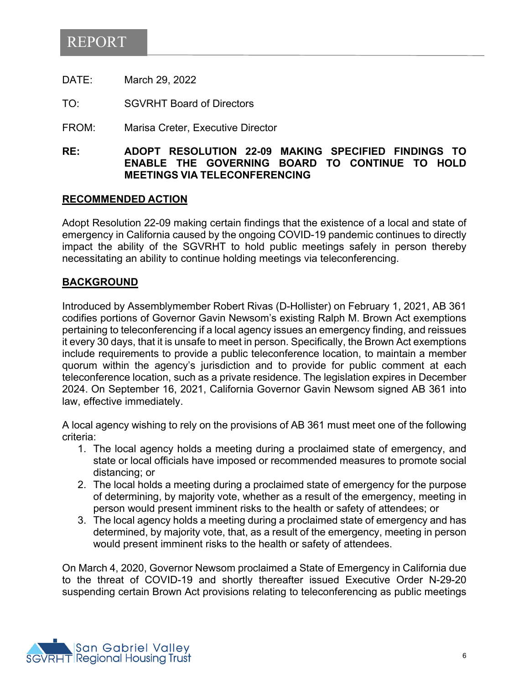# REPORT

DATE: March 29, 2022

TO: SGVRHT Board of Directors

FROM: Marisa Creter, Executive Director

### **RE: ADOPT RESOLUTION 22-09 MAKING SPECIFIED FINDINGS TO ENABLE THE GOVERNING BOARD TO CONTINUE TO HOLD MEETINGS VIA TELECONFERENCING**

### **RECOMMENDED ACTION**

Adopt Resolution 22-09 making certain findings that the existence of a local and state of emergency in California caused by the ongoing COVID-19 pandemic continues to directly impact the ability of the SGVRHT to hold public meetings safely in person thereby necessitating an ability to continue holding meetings via teleconferencing.

### **BACKGROUND**

Introduced by Assemblymember Robert Rivas (D-Hollister) on February 1, 2021, AB 361 codifies portions of Governor Gavin Newsom's existing Ralph M. Brown Act exemptions pertaining to teleconferencing if a local agency issues an emergency finding, and reissues it every 30 days, that it is unsafe to meet in person. Specifically, the Brown Act exemptions include requirements to provide a public teleconference location, to maintain a member quorum within the agency's jurisdiction and to provide for public comment at each teleconference location, such as a private residence. The legislation expires in December 2024. On September 16, 2021, California Governor Gavin Newsom signed AB 361 into law, effective immediately.

A local agency wishing to rely on the provisions of AB 361 must meet one of the following criteria:

- 1. The local agency holds a meeting during a proclaimed state of emergency, and state or local officials have imposed or recommended measures to promote social distancing; or
- 2. The local holds a meeting during a proclaimed state of emergency for the purpose of determining, by majority vote, whether as a result of the emergency, meeting in person would present imminent risks to the health or safety of attendees; or
- 3. The local agency holds a meeting during a proclaimed state of emergency and has determined, by majority vote, that, as a result of the emergency, meeting in person would present imminent risks to the health or safety of attendees.

On March 4, 2020, Governor Newsom proclaimed a State of Emergency in California due to the threat of COVID-19 and shortly thereafter issued Executive Order N-29-20 suspending certain Brown Act provisions relating to teleconferencing as public meetings

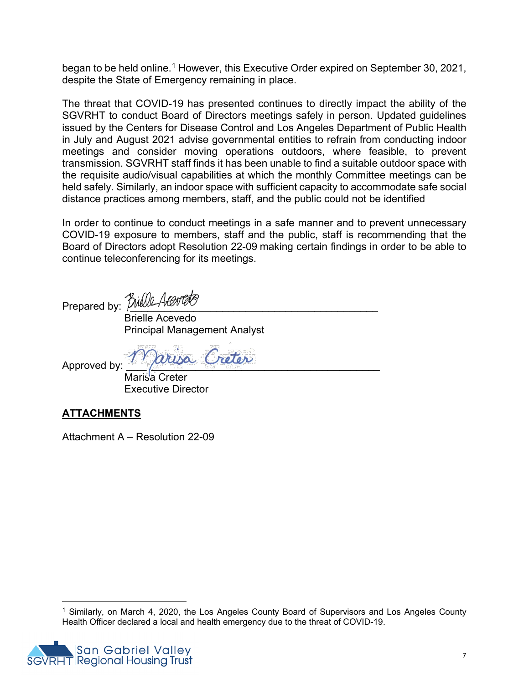began to be held online.<sup>[1](#page-6-0)</sup> However, this Executive Order expired on September 30, 2021, despite the State of Emergency remaining in place.

The threat that COVID-19 has presented continues to directly impact the ability of the SGVRHT to conduct Board of Directors meetings safely in person. Updated guidelines issued by the Centers for Disease Control and Los Angeles Department of Public Health in July and August 2021 advise governmental entities to refrain from conducting indoor meetings and consider moving operations outdoors, where feasible, to prevent transmission. SGVRHT staff finds it has been unable to find a suitable outdoor space with the requisite audio/visual capabilities at which the monthly Committee meetings can be held safely. Similarly, an indoor space with sufficient capacity to accommodate safe social distance practices among members, staff, and the public could not be identified

In order to continue to conduct meetings in a safe manner and to prevent unnecessary COVID-19 exposure to members, staff and the public, staff is recommending that the Board of Directors adopt Resolution 22-09 making certain findings in order to be able to continue teleconferencing for its meetings.

Prepared by: Bulle Acerte

 Brielle Acevedo Principal Management Analyst

Approved by: 1 arusa Greter

Marisa Creter Executive Director

# **ATTACHMENTS**

Attachment A – Resolution 22-09

<span id="page-6-0"></span><sup>&</sup>lt;sup>1</sup> Similarly, on March 4, 2020, the Los Angeles County Board of Supervisors and Los Angeles County Health Officer declared a local and health emergency due to the threat of COVID-19.



 $\overline{\phantom{a}}$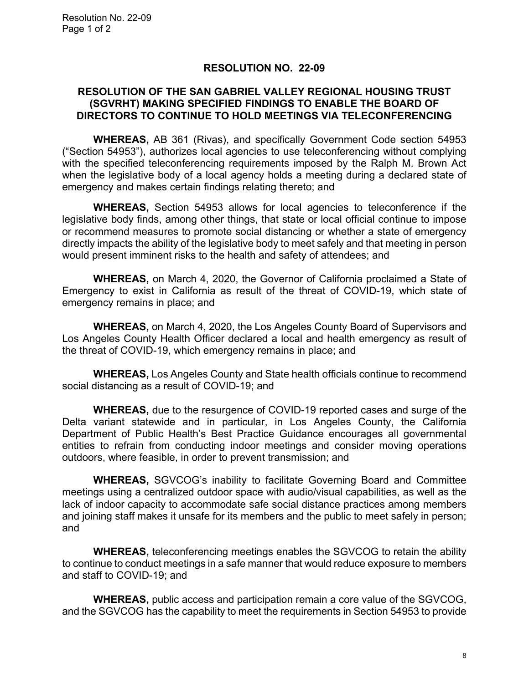### **RESOLUTION NO. 22-09**

### **RESOLUTION OF THE SAN GABRIEL VALLEY REGIONAL HOUSING TRUST (SGVRHT) MAKING SPECIFIED FINDINGS TO ENABLE THE BOARD OF DIRECTORS TO CONTINUE TO HOLD MEETINGS VIA TELECONFERENCING**

**WHEREAS,** AB 361 (Rivas), and specifically Government Code section 54953 ("Section 54953"), authorizes local agencies to use teleconferencing without complying with the specified teleconferencing requirements imposed by the Ralph M. Brown Act when the legislative body of a local agency holds a meeting during a declared state of emergency and makes certain findings relating thereto; and

**WHEREAS,** Section 54953 allows for local agencies to teleconference if the legislative body finds, among other things, that state or local official continue to impose or recommend measures to promote social distancing or whether a state of emergency directly impacts the ability of the legislative body to meet safely and that meeting in person would present imminent risks to the health and safety of attendees; and

**WHEREAS,** on March 4, 2020, the Governor of California proclaimed a State of Emergency to exist in California as result of the threat of COVID-19, which state of emergency remains in place; and

**WHEREAS,** on March 4, 2020, the Los Angeles County Board of Supervisors and Los Angeles County Health Officer declared a local and health emergency as result of the threat of COVID-19, which emergency remains in place; and

**WHEREAS,** Los Angeles County and State health officials continue to recommend social distancing as a result of COVID-19; and

**WHEREAS,** due to the resurgence of COVID-19 reported cases and surge of the Delta variant statewide and in particular, in Los Angeles County, the California Department of Public Health's Best Practice Guidance encourages all governmental entities to refrain from conducting indoor meetings and consider moving operations outdoors, where feasible, in order to prevent transmission; and

**WHEREAS,** SGVCOG's inability to facilitate Governing Board and Committee meetings using a centralized outdoor space with audio/visual capabilities, as well as the lack of indoor capacity to accommodate safe social distance practices among members and joining staff makes it unsafe for its members and the public to meet safely in person; and

**WHEREAS,** teleconferencing meetings enables the SGVCOG to retain the ability to continue to conduct meetings in a safe manner that would reduce exposure to members and staff to COVID-19; and

**WHEREAS,** public access and participation remain a core value of the SGVCOG, and the SGVCOG has the capability to meet the requirements in Section 54953 to provide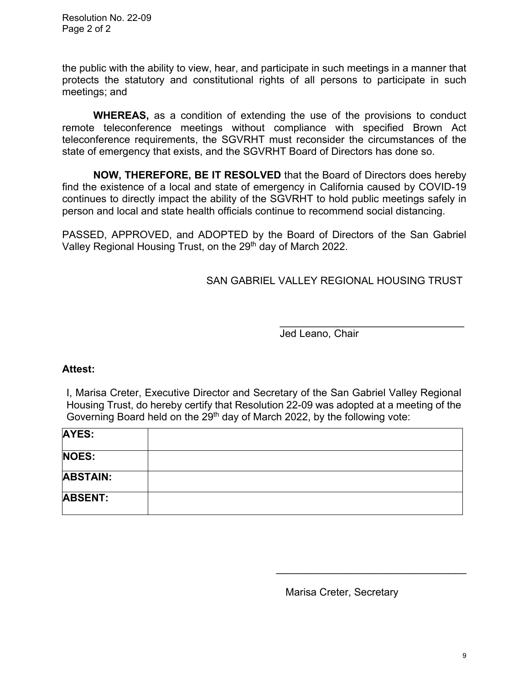Resolution No. 22-09 Page 2 of 2

the public with the ability to view, hear, and participate in such meetings in a manner that protects the statutory and constitutional rights of all persons to participate in such meetings; and

**WHEREAS,** as a condition of extending the use of the provisions to conduct remote teleconference meetings without compliance with specified Brown Act teleconference requirements, the SGVRHT must reconsider the circumstances of the state of emergency that exists, and the SGVRHT Board of Directors has done so.

**NOW, THEREFORE, BE IT RESOLVED** that the Board of Directors does hereby find the existence of a local and state of emergency in California caused by COVID-19 continues to directly impact the ability of the SGVRHT to hold public meetings safely in person and local and state health officials continue to recommend social distancing.

PASSED, APPROVED, and ADOPTED by the Board of Directors of the San Gabriel Valley Regional Housing Trust, on the 29<sup>th</sup> day of March 2022.

SAN GABRIEL VALLEY REGIONAL HOUSING TRUST

\_\_\_\_\_\_\_\_\_\_\_\_\_\_\_\_\_\_\_\_\_\_\_\_\_\_\_\_\_\_\_\_ Jed Leano, Chair

### **Attest:**

I, Marisa Creter, Executive Director and Secretary of the San Gabriel Valley Regional Housing Trust, do hereby certify that Resolution 22-09 was adopted at a meeting of the Governing Board held on the  $29<sup>th</sup>$  day of March 2022, by the following vote:

| <b>AYES:</b>    |  |
|-----------------|--|
| <b>NOES:</b>    |  |
| <b>ABSTAIN:</b> |  |
| <b>ABSENT:</b>  |  |

Marisa Creter, Secretary

\_\_\_\_\_\_\_\_\_\_\_\_\_\_\_\_\_\_\_\_\_\_\_\_\_\_\_\_\_\_\_\_\_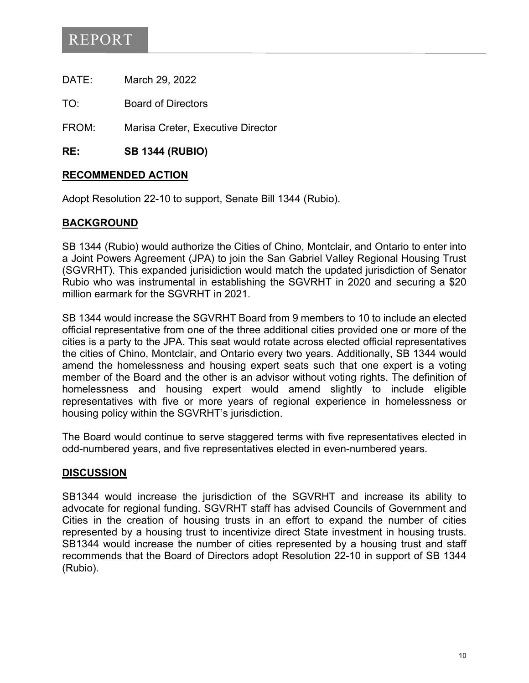# REPORT

DATE: March 29, 2022

TO: Board of Directors

FROM: Marisa Creter, Executive Director

**RE: SB 1344 (RUBIO)** 

## **RECOMMENDED ACTION**

Adopt Resolution 22-10 to support, Senate Bill 1344 (Rubio).

## **BACKGROUND**

SB 1344 (Rubio) would authorize the Cities of Chino, Montclair, and Ontario to enter into a Joint Powers Agreement (JPA) to join the San Gabriel Valley Regional Housing Trust (SGVRHT). This expanded jurisidiction would match the updated jurisdiction of Senator Rubio who was instrumental in establishing the SGVRHT in 2020 and securing a \$20 million earmark for the SGVRHT in 2021.

SB 1344 would increase the SGVRHT Board from 9 members to 10 to include an elected official representative from one of the three additional cities provided one or more of the cities is a party to the JPA. This seat would rotate across elected official representatives the cities of Chino, Montclair, and Ontario every two years. Additionally, SB 1344 would amend the homelessness and housing expert seats such that one expert is a voting member of the Board and the other is an advisor without voting rights. The definition of homelessness and housing expert would amend slightly to include eligible representatives with five or more years of regional experience in homelessness or housing policy within the SGVRHT's jurisdiction.

The Board would continue to serve staggered terms with five representatives elected in odd-numbered years, and five representatives elected in even-numbered years.

### **DISCUSSION**

SB1344 would increase the jurisdiction of the SGVRHT and increase its ability to advocate for regional funding. SGVRHT staff has advised Councils of Government and Cities in the creation of housing trusts in an effort to expand the number of cities represented by a housing trust to incentivize direct State investment in housing trusts. SB1344 would increase the number of cities represented by a housing trust and staff recommends that the Board of Directors adopt Resolution 22-10 in support of SB 1344 (Rubio).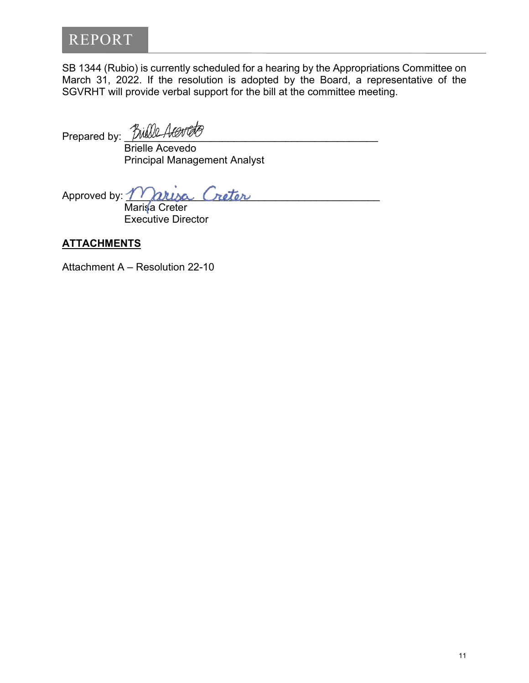# REPORT

SB 1344 (Rubio) is currently scheduled for a hearing by the Appropriations Committee on March 31, 2022. If the resolution is adopted by the Board, a representative of the SGVRHT will provide verbal support for the bill at the committee meeting.

Prepared by: *Bulll* 

Brielle Acevedo Principal Management Analyst

Approved by:  $m$ arisa Creter

Marisa Creter Executive Director

# **ATTACHMENTS**

Attachment A – Resolution 22-10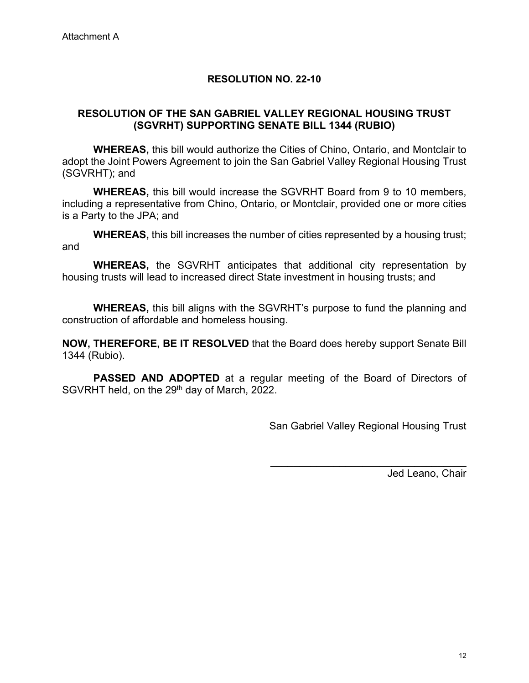### **RESOLUTION NO. 22-10**

## **RESOLUTION OF THE SAN GABRIEL VALLEY REGIONAL HOUSING TRUST (SGVRHT) SUPPORTING SENATE BILL 1344 (RUBIO)**

**WHEREAS,** this bill would authorize the Cities of Chino, Ontario, and Montclair to adopt the Joint Powers Agreement to join the San Gabriel Valley Regional Housing Trust (SGVRHT); and

**WHEREAS,** this bill would increase the SGVRHT Board from 9 to 10 members, including a representative from Chino, Ontario, or Montclair, provided one or more cities is a Party to the JPA; and

**WHEREAS,** this bill increases the number of cities represented by a housing trust; and

**WHEREAS,** the SGVRHT anticipates that additional city representation by housing trusts will lead to increased direct State investment in housing trusts; and

**WHEREAS,** this bill aligns with the SGVRHT's purpose to fund the planning and construction of affordable and homeless housing.

**NOW, THEREFORE, BE IT RESOLVED** that the Board does hereby support Senate Bill 1344 (Rubio).

**PASSED AND ADOPTED** at a regular meeting of the Board of Directors of SGVRHT held, on the 29<sup>th</sup> day of March, 2022.

San Gabriel Valley Regional Housing Trust

\_\_\_\_\_\_\_\_\_\_\_\_\_\_\_\_\_\_\_\_\_\_\_\_\_\_\_\_\_\_\_\_\_\_

Jed Leano, Chair